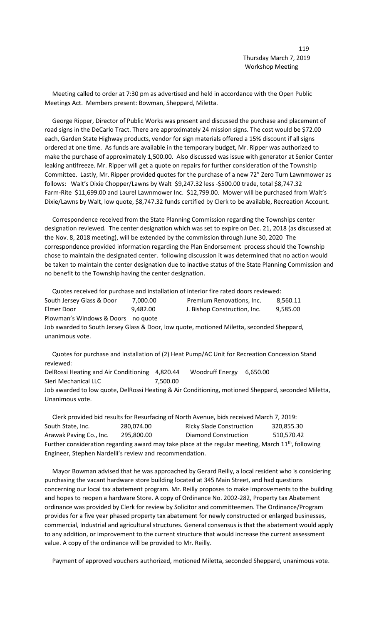Meeting called to order at 7:30 pm as advertised and held in accordance with the Open Public Meetings Act. Members present: Bowman, Sheppard, Miletta.

 George Ripper, Director of Public Works was present and discussed the purchase and placement of road signs in the DeCarlo Tract. There are approximately 24 mission signs. The cost would be \$72.00 each, Garden State Highway products, vendor for sign materials offered a 15% discount if all signs ordered at one time. As funds are available in the temporary budget, Mr. Ripper was authorized to make the purchase of approximately 1,500.00. Also discussed was issue with generator at Senior Center leaking antifreeze. Mr. Ripper will get a quote on repairs for further consideration of the Township Committee. Lastly, Mr. Ripper provided quotes for the purchase of a new 72" Zero Turn Lawnmower as follows: Walt's Dixie Chopper/Lawns by Walt \$9,247.32 less -\$500.00 trade, total \$8,747.32 Farm-Rite \$11,699.00 and Laurel Lawnmower Inc. \$12,799.00. Mower will be purchased from Walt's Dixie/Lawns by Walt, low quote, \$8,747.32 funds certified by Clerk to be available, Recreation Account.

 Correspondence received from the State Planning Commission regarding the Townships center designation reviewed. The center designation which was set to expire on Dec. 21, 2018 (as discussed at the Nov. 8, 2018 meeting), will be extended by the commission through June 30, 2020 The correspondence provided information regarding the Plan Endorsement process should the Township chose to maintain the designated center. following discussion it was determined that no action would be taken to maintain the center designation due to inactive status of the State Planning Commission and no benefit to the Township having the center designation.

 Quotes received for purchase and installation of interior fire rated doors reviewed: South Jersey Glass & Door 7,000.00 Premium Renovations, Inc. 8,560.11 Elmer Door **9,482.00** J. Bishop Construction, Inc. 9,585.00 Plowman's Windows & Doors no quote Job awarded to South Jersey Glass & Door, low quote, motioned Miletta, seconded Sheppard, unanimous vote.

 Quotes for purchase and installation of (2) Heat Pump/AC Unit for Recreation Concession Stand reviewed:

DelRossi Heating and Air Conditioning 4,820.44 Woodruff Energy 6,650.00 Sieri Mechanical LLC 7,500.00 Job awarded to low quote, DelRossi Heating & Air Conditioning, motioned Sheppard, seconded Miletta, Unanimous vote.

 Clerk provided bid results for Resurfacing of North Avenue, bids received March 7, 2019: South State, Inc. 280,074.00 Ricky Slade Construction 320,855.30 Arawak Paving Co., Inc. 295,800.00 Diamond Construction 510,570.42 Further consideration regarding award may take place at the regular meeting, March  $11<sup>th</sup>$ , following Engineer, Stephen Nardelli's review and recommendation.

 Mayor Bowman advised that he was approached by Gerard Reilly, a local resident who is considering purchasing the vacant hardware store building located at 345 Main Street, and had questions concerning our local tax abatement program. Mr. Reilly proposes to make improvements to the building and hopes to reopen a hardware Store. A copy of Ordinance No. 2002-282, Property tax Abatement ordinance was provided by Clerk for review by Solicitor and committeemen. The Ordinance/Program provides for a five year phased property tax abatement for newly constructed or enlarged businesses, commercial, Industrial and agricultural structures. General consensus is that the abatement would apply to any addition, or improvement to the current structure that would increase the current assessment value. A copy of the ordinance will be provided to Mr. Reilly.

Payment of approved vouchers authorized, motioned Miletta, seconded Sheppard, unanimous vote.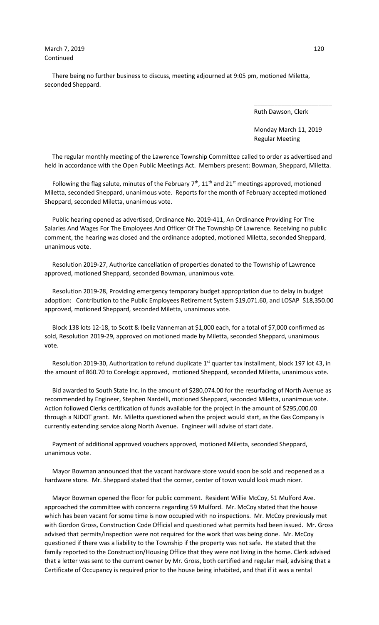There being no further business to discuss, meeting adjourned at 9:05 pm, motioned Miletta, seconded Sheppard.

Ruth Dawson, Clerk

 Monday March 11, 2019 Regular Meeting

 The regular monthly meeting of the Lawrence Township Committee called to order as advertised and held in accordance with the Open Public Meetings Act. Members present: Bowman, Sheppard, Miletta.

 $\overline{\phantom{a}}$  , and the contract of the contract of the contract of the contract of the contract of the contract of the contract of the contract of the contract of the contract of the contract of the contract of the contrac

Following the flag salute, minutes of the February  $7<sup>th</sup>$ ,  $11<sup>th</sup>$  and  $21<sup>st</sup>$  meetings approved, motioned Miletta, seconded Sheppard, unanimous vote. Reports for the month of February accepted motioned Sheppard, seconded Miletta, unanimous vote.

 Public hearing opened as advertised, Ordinance No. 2019-411, An Ordinance Providing For The Salaries And Wages For The Employees And Officer Of The Township Of Lawrence. Receiving no public comment, the hearing was closed and the ordinance adopted, motioned Miletta, seconded Sheppard, unanimous vote.

 Resolution 2019-27, Authorize cancellation of properties donated to the Township of Lawrence approved, motioned Sheppard, seconded Bowman, unanimous vote.

 Resolution 2019-28, Providing emergency temporary budget appropriation due to delay in budget adoption: Contribution to the Public Employees Retirement System \$19,071.60, and LOSAP \$18,350.00 approved, motioned Sheppard, seconded Miletta, unanimous vote.

 Block 138 lots 12-18, to Scott & Ibeliz Vanneman at \$1,000 each, for a total of \$7,000 confirmed as sold, Resolution 2019-29, approved on motioned made by Miletta, seconded Sheppard, unanimous vote.

Resolution 2019-30, Authorization to refund duplicate 1<sup>st</sup> quarter tax installment, block 197 lot 43, in the amount of 860.70 to Corelogic approved, motioned Sheppard, seconded Miletta, unanimous vote.

 Bid awarded to South State Inc. in the amount of \$280,074.00 for the resurfacing of North Avenue as recommended by Engineer, Stephen Nardelli, motioned Sheppard, seconded Miletta, unanimous vote. Action followed Clerks certification of funds available for the project in the amount of \$295,000.00 through a NJDOT grant. Mr. Miletta questioned when the project would start, as the Gas Company is currently extending service along North Avenue. Engineer will advise of start date.

 Payment of additional approved vouchers approved, motioned Miletta, seconded Sheppard, unanimous vote.

 Mayor Bowman announced that the vacant hardware store would soon be sold and reopened as a hardware store. Mr. Sheppard stated that the corner, center of town would look much nicer.

 Mayor Bowman opened the floor for public comment. Resident Willie McCoy, 51 Mulford Ave. approached the committee with concerns regarding 59 Mulford. Mr. McCoy stated that the house which has been vacant for some time is now occupied with no inspections. Mr. McCoy previously met with Gordon Gross, Construction Code Official and questioned what permits had been issued. Mr. Gross advised that permits/inspection were not required for the work that was being done. Mr. McCoy questioned if there was a liability to the Township if the property was not safe. He stated that the family reported to the Construction/Housing Office that they were not living in the home. Clerk advised that a letter was sent to the current owner by Mr. Gross, both certified and regular mail, advising that a Certificate of Occupancy is required prior to the house being inhabited, and that if it was a rental